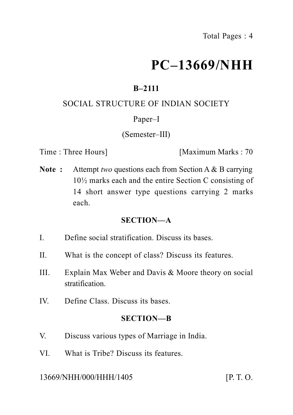# **PC–13669/NHH**

# **B–2111**

# SOCIAL STRUCTURE OF INDIAN SOCIETY

# Paper–I

# (Semester–III)

Time : Three Hours] [Maximum Marks : 70

**Note :** Attempt *two* questions each from Section A & B carrying 10½ marks each and the entire Section C consisting of 14 short answer type questions carrying 2 marks each.

## **SECTION—A**

- I. Define social stratification. Discuss its bases.
- II. What is the concept of class? Discuss its features.
- III. Explain Max Weber and Davis & Moore theory on social stratification.
- IV. Define Class. Discuss its bases.

## **SECTION—B**

- V. Discuss various types of Marriage in India.
- VI. What is Tribe? Discuss its features.

## 13669/NHH/000/HHH/1405 [P. T. O.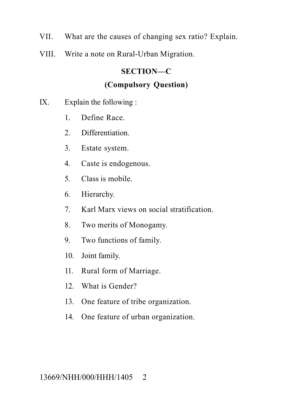- VII. What are the causes of changing sex ratio? Explain.
- VIII. Write a note on Rural-Urban Migration.

# **SECTION—C**

# **(Compulsory Question)**

- IX. Explain the following :
	- 1. Define Race.
	- 2. Differentiation.
	- 3. Estate system.
	- 4. Caste is endogenous.
	- 5. Class is mobile.
	- 6. Hierarchy.
	- 7. Karl Marx views on social stratification.
	- 8. Two merits of Monogamy.
	- 9. Two functions of family.
	- 10. Joint family.
	- 11. Rural form of Marriage.
	- 12. What is Gender?
	- 13. One feature of tribe organization.
	- 14. One feature of urban organization.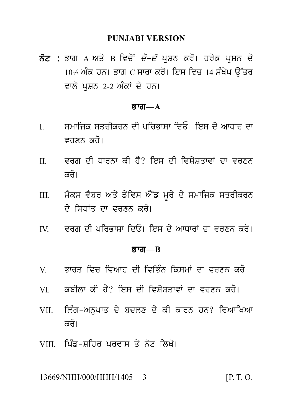#### **PUNJABI VERSION**

PUNJABI VERSION<br>ਨੋਟ : ਭਾਗ A ਅਤੇ B ਵਿਚੋਂ *ਦੋ–ਦੋ* ਪ੍ਰਸ਼ਨ ਕਰੋ। ਹਰੇਕ ਪ੍ਰਸ਼ਨ ਦੇ<br>10½ ਅੰਕ ਹਨ। ਭਾਗ C ਸਾਰਾ ਕਰੋ। ਇਸ ਵਿਚ 14 ਸੰਖੇਪ ਉੱਤਰ<br>ਵਾਲੇ ਪਸ਼ਨ 2-2 ਅੰਕਾਂ ਦੇ ਹਨ। PUNJABI VERSION<br>ਭਾਗ A ਅਤੇ B ਵਿਚੋਂ *ਦੋ–ਦੋ* ਪ੍ਰਸ਼ਨ ਕਰੋ। ਹਰੇਕ ਪ੍ਰਸ਼ਨ ਦੇ<br>10½ ਅੰਕ ਹਨ। ਭਾਗ C ਸਾਰਾ ਕਰੋ। ਇਸ ਵਿਚ 14 ਸੰਖੇਪ ਉੱਤਰ<br>ਵਾਲੇ ਪ੍ਰਸ਼ਨ 2-2 ਅੰਕਾਂ ਦੇ ਹਨ। **ਨੋਟ :** ਭਾਗ A ਅਤੇ B ਵਿਚੋਂ *ਦੋ–ਦੋ* ਪ੍ਰਸ਼ਨ ਕਰੋ। ਹਰੇਕ ਪ੍ਰਸ਼ਨ ਦੇ<br>10½ ਅੰਕ ਹਨ। ਭਾਗ C ਸਾਰਾ ਕਰੋ। ਇਸ ਵਿਚ 14 ਸੰਖੇਪ ਉੱਤਰ<br>ਵਾਲੇ ਪਸ਼ਨ 2-2 ਅੰਕਾਂ ਦੇ ਹਨ।

#### Bwg**—A**

- ਵਾਲੇ ਪ੍ਰਸ਼ਨ 2-2 ਅੰਕਾਂ ਦੇ ਹਨ।<br>ਭਾਗ—A<br>I. ਮਮਾਜਿਕ ਸਤਰੀਕਰਨ ਦੀ ਪਰਿਭਾਸ਼ਾ ਦਿਓ। ਇਸ ਦੇ ਆਧਾਰ ਦਾ<br>ਵਰਣਨ ਕਰੋ। ਸਮਾਜਿਕ ਸਤਰੀਕਰਨ ਦੀ ਪਰਿਭਾਸ਼ਾ ਦਿਓ। ਇਸ ਦੇ ਆਧਾਰ ਦਾ<br>ਵਰਣਨ ਕਰੋ।<br>ਵਰਗ ਦੀ ਧਾਰਨਾ ਕੀ ਹੈ? ਇਸ ਦੀ ਵਿਸ਼ੇਸ਼ਤਾਵਾਂ ਦਾ ਵਰਣਨ<br>ਕਰੋ।
- I. ਸਮਾਜਿਕ ਸਤਰੀਕਰਨ ਦੀ ਪਰਿਭਾਸ਼ਾ ਦਿਓ। ਇਸ ਦੇ ਆਧਾਰ ਦਾ<br> ਵਰਣਨ ਕਰੋ।<br>II. ਵਰਗ ਦੀ ਧਾਰਨਾ ਕੀ ਹੈ? ਇਸ ਦੀ ਵਿਸ਼ੇਸ਼ਤਾਵਾਂ ਦਾ ਵਰਣਨ<br> ਕਰੋ। ਵਰਣਨ ਕਰੋ।<br>ਵਰਗ ਦੀ ਧਾਰਨਾ ਕੀ ਹੈ?<br>ਕਰੋ।<br>ਮੈਕਸ ਵੈਬਰ ਅਤੇ ਡੇਵਿਸ ਐ III. m Yks v Ybr Aq y f yivs A YNf m Ur y d y smwijk sqrIkrn
- ਕਰੋ।<br>ਮੈਕਸ ਵੈਬਰ ਅਤੇ ਡੇਵਿਸ ਐਂਡ ਮੂਰੇ ਦੇ ਸਮਾਜਿਕ ਸ<br>ਦੇ ਸਿਧਾਂਤ ਦਾ ਵਰਣਨ ਕਰੋ।<br>ਵਰਗ ਦੀ ਪਰਿਭਾਸ਼ਾ ਦਿਓ। ਇਸ ਦੇ ਆਧਾਰਾਂ ਦਾ ਵਰ IV. vrg dI pirBwSw idE[ ies d y AwDwrW dw vrxn kr o[
- IV. ਵਰਗ ਦੀ ਪਰਿਭਾਸ਼ਾ ਦਿਓ। ਇਸ ਦੇ ਆਧਾਰਾਂ ਦਾ ਵਰਣਨ ਕਰੋ।<br>ਭਾਗ—B<br>V. ਭਾਰਤ ਵਿਚ ਵਿਆਹ ਦੀ ਵਿਭਿੰਨ ਕਿਸਮਾਂ ਦਾ ਵਰਣਨ ਕਰੋ।<br>VI. ਕਬੀਲਾ ਕੀ ਹੈ? ਇਸ ਦੀ ਵਿਸ਼ੇਸ਼ਤਾਵਾਂ ਦਾ ਵਰਣਨ ਕਰੋ।

#### <u>ਭਾਗ—B</u>

- 
- 
- **ਭਾਗ—B**<br>V. ਭਾਰਤ ਵਿਚ ਵਿਆਹ ਦੀ ਵਿਭਿੰਨ ਕਿਸਮਾਂ ਦਾ ਵਰਣਨ ਕਰੋ।<br>VI. ਕਬੀਲਾ ਕੀ ਹੈ? ਇਸ ਦੀ ਵਿਸ਼ੇਸ਼ਤਾਵਾਂ ਦਾ ਵਰਣਨ ਕਰੋ।<br>VII. ਲਿੰਗ–ਅਨੁਪਾਤ ਦੇ ਬਦਲਣ ਦੇ ਕੀ ਕਾਰਨ ਹਨ? ਵਿਆਖਿਆ V. ਭਾਰਤ ਵਿਚ ਵਿਆਹ ਦੀ ਵਿਭਿੰਨ ਕਿਸਮਾਂ ਦਾ ਵਰਣਨ ਕਰੋ।<br>VI. ਕਬੀਲਾ ਕੀ ਹੈ? ਇਸ ਦੀ ਵਿਸ਼ੇਸ਼ਤਾਵਾਂ ਦਾ ਵਰਣਨ ਕਰੋ।<br>VII. ਲਿੰਗ-ਅਨੁਪਾਤ ਦੇ ਬਦਲਣ ਦੇ ਕੀ ਕਾਰਨ ਹਨ? ਵਿਆਖਿਆ<br>ਕਰੋ। ਕਬੀਲਾ ਕੀ ਹੈ? ਇਸ ਦੀ l<br>ਲਿੰਗ-ਅਨੁਪਾਤ ਦੇ ਬਦਲਣ<br>ਕਰੋ।<br>ਪਿੰਡ-ਸ਼ਹਿਰ ਪਰਵਾਸ ਤੇ ਨੋ VII. ਲਿੰਗ-ਅਨੁਪਾਤ ਦੇ ਬਦਲਣ ਦੇ ਕੀ ਕਾਰਨ ਹਨ? ਵਿਆਖਿਅ<br>ਕਰੋ।<br>VIII. ਪਿੰਡ-ਸ਼ਹਿਰ ਪਰਵਾਸ ਤੇ ਨੋਟ ਲਿਖੋ।
- 

13669/NHH/000/HHH/1405 3 **[P. T. O.**